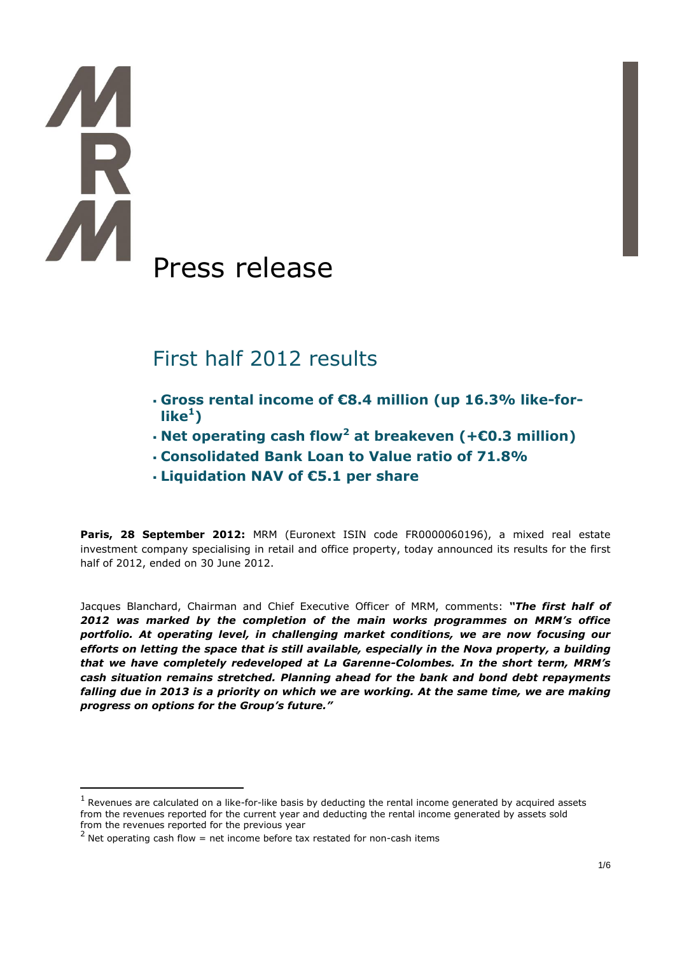$\overline{a}$ 

# Press release

## First half 2012 results

- **Gross rental income of €8.4 million (up 16.3% like-for** $like<sup>1</sup>$
- **Net operating cash flow<sup>2</sup> at breakeven (+€0.3 million)**
- **Consolidated Bank Loan to Value ratio of 71.8%**
- **Liquidation NAV of €5.1 per share**

**Paris, 28 September 2012:** MRM (Euronext ISIN code FR0000060196), a mixed real estate investment company specialising in retail and office property, today announced its results for the first half of 2012, ended on 30 June 2012.

Jacques Blanchard, Chairman and Chief Executive Officer of MRM, comments: *"The first half of 2012 was marked by the completion of the main works programmes on MRM's office portfolio. At operating level, in challenging market conditions, we are now focusing our efforts on letting the space that is still available, especially in the Nova property, a building that we have completely redeveloped at La Garenne-Colombes. In the short term, MRM's cash situation remains stretched. Planning ahead for the bank and bond debt repayments falling due in 2013 is a priority on which we are working. At the same time, we are making progress on options for the Group's future."*

 $<sup>1</sup>$  Revenues are calculated on a like-for-like basis by deducting the rental income generated by acquired assets</sup> from the revenues reported for the current year and deducting the rental income generated by assets sold from the revenues reported for the previous year

 $2$  Net operating cash flow = net income before tax restated for non-cash items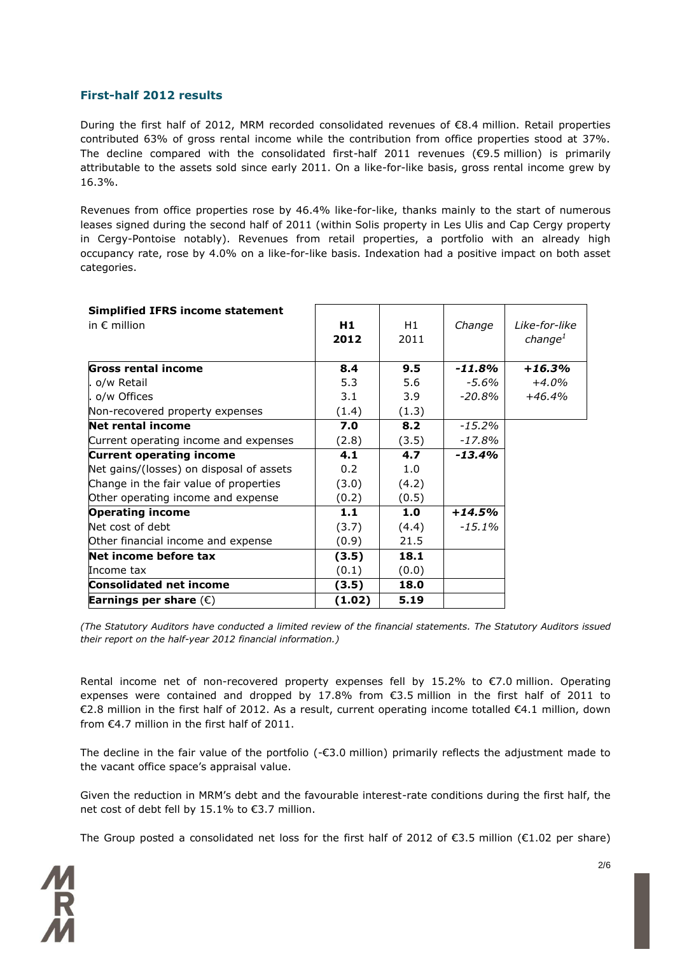### **First-half 2012 results**

During the first half of 2012, MRM recorded consolidated revenues of  $\epsilon$ 8.4 million. Retail properties contributed 63% of gross rental income while the contribution from office properties stood at 37%. The decline compared with the consolidated first-half 2011 revenues ( $\epsilon$ 9.5 million) is primarily attributable to the assets sold since early 2011. On a like-for-like basis, gross rental income grew by 16.3%.

Revenues from office properties rose by 46.4% like-for-like, thanks mainly to the start of numerous leases signed during the second half of 2011 (within Solis property in Les Ulis and Cap Cergy property in Cergy-Pontoise notably). Revenues from retail properties, a portfolio with an already high occupancy rate, rose by 4.0% on a like-for-like basis. Indexation had a positive impact on both asset categories.

| <b>Simplified IFRS income statement</b>  |        |       |           |                     |
|------------------------------------------|--------|-------|-----------|---------------------|
| in $\epsilon$ million                    | H1     | H1    | Change    | Like-for-like       |
|                                          | 2012   | 2011  |           | change <sup>1</sup> |
| Gross rental income                      | 8.4    | 9.5   | $-11.8\%$ | $+16.3%$            |
| . o/w Retail                             | 5.3    | 5.6   | -5.6%     | $+4.0%$             |
| o/w Offices                              | 3.1    | 3.9   | -20.8%    | $+46.4%$            |
| Non-recovered property expenses          | (1.4)  | (1.3) |           |                     |
| Net rental income                        | 7.0    | 8.2   | $-15.2\%$ |                     |
| Current operating income and expenses    | (2.8)  | (3.5) | $-17.8%$  |                     |
| <b>Current operating income</b>          | 4.1    | 4.7   | $-13.4%$  |                     |
| Net gains/(losses) on disposal of assets | 0.2    | 1.0   |           |                     |
| Change in the fair value of properties   | (3.0)  | (4.2) |           |                     |
| Other operating income and expense       | (0.2)  | (0.5) |           |                     |
| <b>Operating income</b>                  | 1.1    | 1.0   | $+14.5%$  |                     |
| Net cost of debt                         | (3.7)  | (4.4) | $-15.1\%$ |                     |
| Other financial income and expense       | (0.9)  | 21.5  |           |                     |
| Net income before tax                    | (3.5)  | 18.1  |           |                     |
| Income tax                               | (0.1)  | (0.0) |           |                     |
| <b>Consolidated net income</b>           | (3.5)  | 18.0  |           |                     |
| Earnings per share $(\epsilon)$          | (1.02) | 5.19  |           |                     |

*(The Statutory Auditors have conducted a limited review of the financial statements. The Statutory Auditors issued their report on the half-year 2012 financial information.)*

Rental income net of non-recovered property expenses fell by 15.2% to €7.0 million. Operating expenses were contained and dropped by 17.8% from €3.5 million in the first half of 2011 to €2.8 million in the first half of 2012. As a result, current operating income totalled €4.1 million, down from €4.7 million in the first half of 2011.

The decline in the fair value of the portfolio (-€3.0 million) primarily reflects the adjustment made to the vacant office space's appraisal value.

Given the reduction in MRM's debt and the favourable interest-rate conditions during the first half, the net cost of debt fell by 15.1% to €3.7 million.

The Group posted a consolidated net loss for the first half of 2012 of €3.5 million (€1.02 per share)

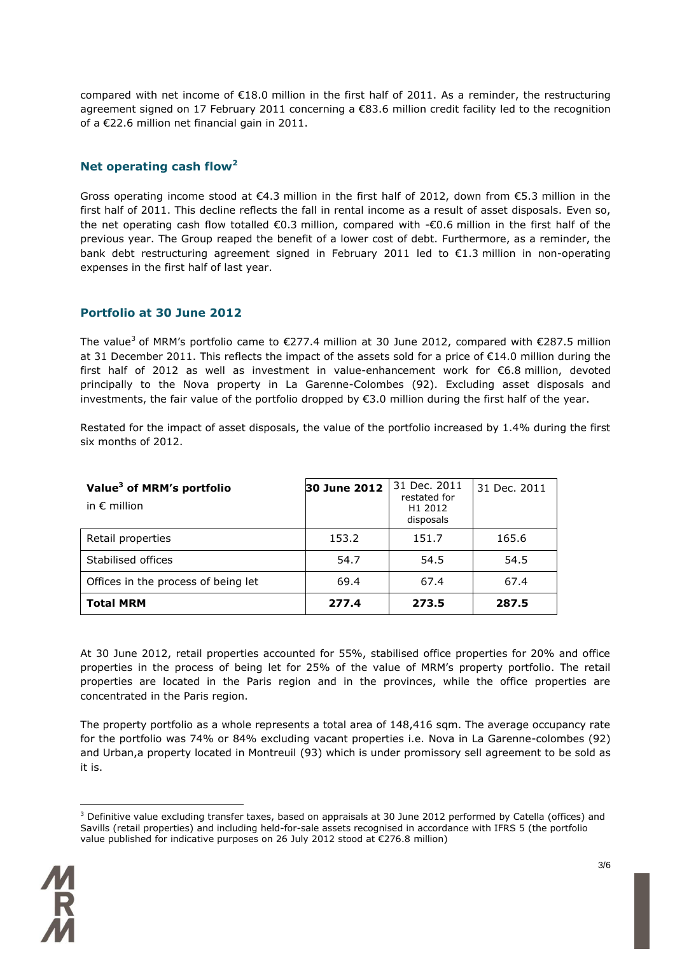compared with net income of  $E18.0$  million in the first half of 2011. As a reminder, the restructuring agreement signed on 17 February 2011 concerning a €83.6 million credit facility led to the recognition of a €22.6 million net financial gain in 2011.

### **Net operating cash flow<sup>2</sup>**

Gross operating income stood at  $\epsilon$ 4.3 million in the first half of 2012, down from  $\epsilon$ 5.3 million in the first half of 2011. This decline reflects the fall in rental income as a result of asset disposals. Even so, the net operating cash flow totalled €0.3 million, compared with -€0.6 million in the first half of the previous year. The Group reaped the benefit of a lower cost of debt. Furthermore, as a reminder, the bank debt restructuring agreement signed in February 2011 led to €1.3 million in non-operating expenses in the first half of last year.

### **Portfolio at 30 June 2012**

The value<sup>3</sup> of MRM's portfolio came to  $\epsilon$ 277.4 million at 30 June 2012, compared with  $\epsilon$ 287.5 million at 31 December 2011. This reflects the impact of the assets sold for a price of €14.0 million during the first half of 2012 as well as investment in value-enhancement work for €6.8 million, devoted principally to the Nova property in La Garenne-Colombes (92). Excluding asset disposals and investments, the fair value of the portfolio dropped by €3.0 million during the first half of the year.

Restated for the impact of asset disposals, the value of the portfolio increased by 1.4% during the first six months of 2012.

| Value <sup>3</sup> of MRM's portfolio<br>in $\epsilon$ million | 30 June 2012 | 31 Dec. 2011<br>restated for<br>H <sub>1</sub> 2012<br>disposals | 31 Dec. 2011 |
|----------------------------------------------------------------|--------------|------------------------------------------------------------------|--------------|
| Retail properties                                              | 153.2        | 151.7                                                            | 165.6        |
| Stabilised offices                                             | 54.7         | 54.5                                                             | 54.5         |
| Offices in the process of being let                            | 69.4         | 67.4                                                             | 67.4         |
| <b>Total MRM</b>                                               | 277.4        | 273.5                                                            | 287.5        |

At 30 June 2012, retail properties accounted for 55%, stabilised office properties for 20% and office properties in the process of being let for 25% of the value of MRM's property portfolio. The retail properties are located in the Paris region and in the provinces, while the office properties are concentrated in the Paris region.

The property portfolio as a whole represents a total area of 148,416 sqm. The average occupancy rate for the portfolio was 74% or 84% excluding vacant properties i.e. Nova in La Garenne-colombes (92) and Urban,a property located in Montreuil (93) which is under promissory sell agreement to be sold as it is.

<sup>&</sup>lt;sup>3</sup> Definitive value excluding transfer taxes, based on appraisals at 30 June 2012 performed by Catella (offices) and Savills (retail properties) and including held-for-sale assets recognised in accordance with IFRS 5 (the portfolio value published for indicative purposes on 26 July 2012 stood at €276.8 million)



 $\overline{a}$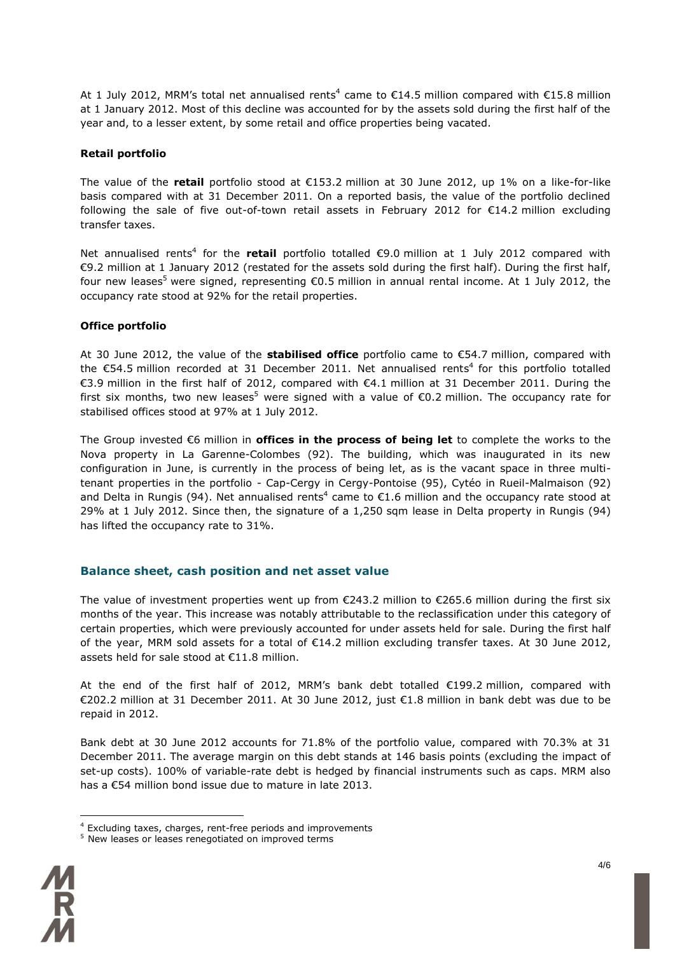At 1 July 2012, MRM's total net annualised rents<sup>4</sup> came to  $\epsilon$ 14.5 million compared with  $\epsilon$ 15.8 million at 1 January 2012. Most of this decline was accounted for by the assets sold during the first half of the year and, to a lesser extent, by some retail and office properties being vacated.

#### **Retail portfolio**

The value of the **retail** portfolio stood at €153.2 million at 30 June 2012, up 1% on a like-for-like basis compared with at 31 December 2011. On a reported basis, the value of the portfolio declined following the sale of five out-of-town retail assets in February 2012 for  $E14.2$  million excluding transfer taxes.

Net annualised rents<sup>4</sup> for the **retail** portfolio totalled €9.0 million at 1 July 2012 compared with €9.2 million at 1 January 2012 (restated for the assets sold during the first half). During the first half, four new leases<sup>5</sup> were signed, representing  $\epsilon$ 0.5 million in annual rental income. At 1 July 2012, the occupancy rate stood at 92% for the retail properties.

#### **Office portfolio**

At 30 June 2012, the value of the **stabilised office** portfolio came to €54.7 million, compared with the €54.5 million recorded at 31 December 2011. Net annualised rents<sup>4</sup> for this portfolio totalled €3.9 million in the first half of 2012, compared with €4.1 million at 31 December 2011. During the first six months, two new leases<sup>5</sup> were signed with a value of  $\epsilon$ 0.2 million. The occupancy rate for stabilised offices stood at 97% at 1 July 2012.

The Group invested €6 million in **offices in the process of being let** to complete the works to the Nova property in La Garenne-Colombes (92). The building, which was inaugurated in its new configuration in June, is currently in the process of being let, as is the vacant space in three multitenant properties in the portfolio - Cap-Cergy in Cergy-Pontoise (95), Cytéo in Rueil-Malmaison (92) and Delta in Rungis (94). Net annualised rents<sup>4</sup> came to  $E1.6$  million and the occupancy rate stood at 29% at 1 July 2012. Since then, the signature of a 1,250 sqm lease in Delta property in Rungis (94) has lifted the occupancy rate to 31%.

#### **Balance sheet, cash position and net asset value**

The value of investment properties went up from  $\epsilon$ 243.2 million to  $\epsilon$ 265.6 million during the first six months of the year. This increase was notably attributable to the reclassification under this category of certain properties, which were previously accounted for under assets held for sale. During the first half of the year, MRM sold assets for a total of €14.2 million excluding transfer taxes. At 30 June 2012, assets held for sale stood at €11.8 million.

At the end of the first half of 2012, MRM's bank debt totalled €199.2 million, compared with €202.2 million at 31 December 2011. At 30 June 2012, just €1.8 million in bank debt was due to be repaid in 2012.

Bank debt at 30 June 2012 accounts for 71.8% of the portfolio value, compared with 70.3% at 31 December 2011. The average margin on this debt stands at 146 basis points (excluding the impact of set-up costs). 100% of variable-rate debt is hedged by financial instruments such as caps. MRM also has a €54 million bond issue due to mature in late 2013.

<sup>5</sup> New leases or leases renegotiated on improved terms



 $\overline{a}$ 

<sup>4</sup> Excluding taxes, charges, rent-free periods and improvements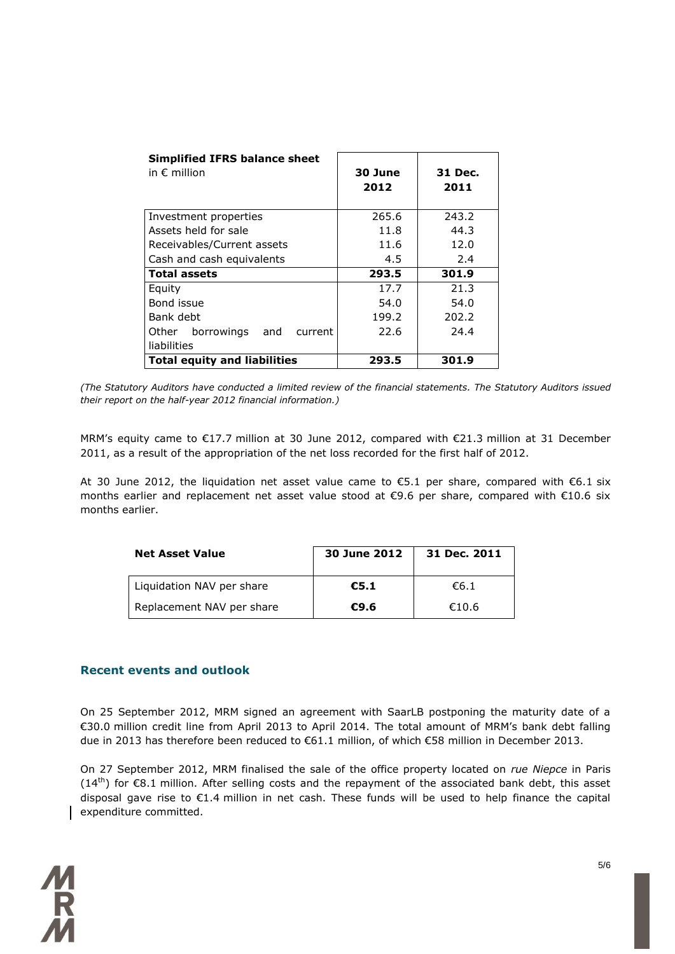| <b>Simplified IFRS balance sheet</b><br>in $\epsilon$ million | 30 June<br>2012 | 31 Dec.<br>2011 |
|---------------------------------------------------------------|-----------------|-----------------|
| Investment properties                                         | 265.6           | 243.2           |
| Assets held for sale                                          | 11.8            | 44.3            |
| Receivables/Current assets                                    | 11.6            | 12.0            |
| Cash and cash equivalents                                     | 4.5             | 2.4             |
| <b>Total assets</b>                                           | 293.5           | 301.9           |
| Equity                                                        | 17.7            | 21.3            |
| Bond issue                                                    | 54.0            | 54.0            |
| Bank debt                                                     | 199.2           | 202.2           |
| borrowings<br>and<br>Other<br>current                         | 22.6            | 24.4            |
| liabilities                                                   |                 |                 |
| <b>Total equity and liabilities</b>                           | 293.5           | 301.9           |

*(The Statutory Auditors have conducted a limited review of the financial statements. The Statutory Auditors issued their report on the half-year 2012 financial information.)*

MRM's equity came to €17.7 million at 30 June 2012, compared with €21.3 million at 31 December 2011, as a result of the appropriation of the net loss recorded for the first half of 2012.

At 30 June 2012, the liquidation net asset value came to  $\epsilon$ 5.1 per share, compared with  $\epsilon$ 6.1 six months earlier and replacement net asset value stood at €9.6 per share, compared with €10.6 six months earlier.

| <b>Net Asset Value</b>    | 30 June 2012 | 31 Dec. 2011 |
|---------------------------|--------------|--------------|
| Liquidation NAV per share | €5.1         | 66.1         |
| Replacement NAV per share | €9.6         | €10.6        |

#### **Recent events and outlook**

On 25 September 2012, MRM signed an agreement with SaarLB postponing the maturity date of a €30.0 million credit line from April 2013 to April 2014. The total amount of MRM's bank debt falling due in 2013 has therefore been reduced to €61.1 million, of which €58 million in December 2013.

On 27 September 2012, MRM finalised the sale of the office property located on *rue Niepce* in Paris  $(14<sup>th</sup>)$  for  $\epsilon$ 8.1 million. After selling costs and the repayment of the associated bank debt, this asset disposal gave rise to €1.4 million in net cash. These funds will be used to help finance the capital expenditure committed.